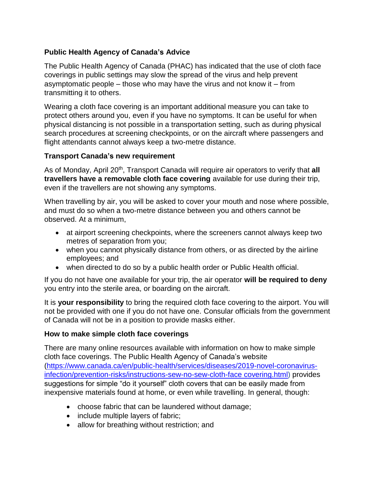## **Public Health Agency of Canada's Advice**

The Public Health Agency of Canada (PHAC) has indicated that the use of cloth face coverings in public settings may slow the spread of the virus and help prevent asymptomatic people – those who may have the virus and not know it – from transmitting it to others.

Wearing a cloth face covering is an important additional measure you can take to protect others around you, even if you have no symptoms. It can be useful for when physical distancing is not possible in a transportation setting, such as during physical search procedures at screening checkpoints, or on the aircraft where passengers and flight attendants cannot always keep a two-metre distance.

## **Transport Canada's new requirement**

As of Monday, April 20<sup>th</sup>, Transport Canada will require air operators to verify that all **travellers have a removable cloth face covering** available for use during their trip, even if the travellers are not showing any symptoms.

When travelling by air, you will be asked to cover your mouth and nose where possible, and must do so when a two-metre distance between you and others cannot be observed. At a minimum,

- at airport screening checkpoints, where the screeners cannot always keep two metres of separation from you;
- when you cannot physically distance from others, or as directed by the airline employees; and
- when directed to do so by a public health order or Public Health official.

If you do not have one available for your trip, the air operator **will be required to deny** you entry into the sterile area, or boarding on the aircraft.

It is **your responsibility** to bring the required cloth face covering to the airport. You will not be provided with one if you do not have one. Consular officials from the government of Canada will not be in a position to provide masks either.

## **How to make simple cloth face coverings**

There are many online resources available with information on how to make simple cloth face coverings. The Public Health Agency of Canada's website [\(https://www.canada.ca/en/public-health/services/diseases/2019-novel-coronavirus](https://www.canada.ca/en/public-health/services/diseases/2019-novel-coronavirus-infection/prevention-risks/instructions-sew-no-sew-cloth-face-covering.html)[infection/prevention-risks/instructions-sew-no-sew-cloth-face covering.html\)](https://www.canada.ca/en/public-health/services/diseases/2019-novel-coronavirus-infection/prevention-risks/instructions-sew-no-sew-cloth-face-covering.html) provides suggestions for simple "do it yourself" cloth covers that can be easily made from inexpensive materials found at home, or even while travelling. In general, though:

- choose fabric that can be laundered without damage;
- include multiple layers of fabric;
- allow for breathing without restriction; and